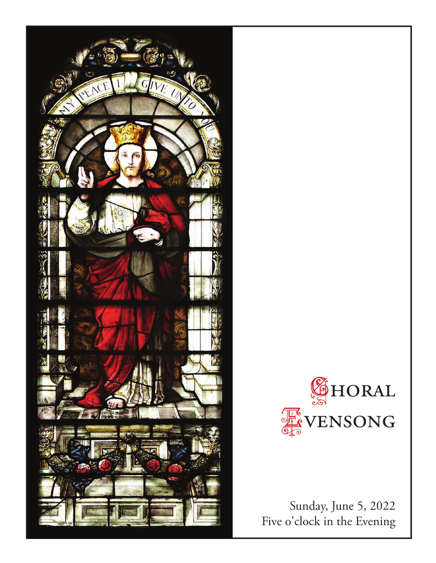



Sunday, June 5, 2022 Five o'clock in the Evening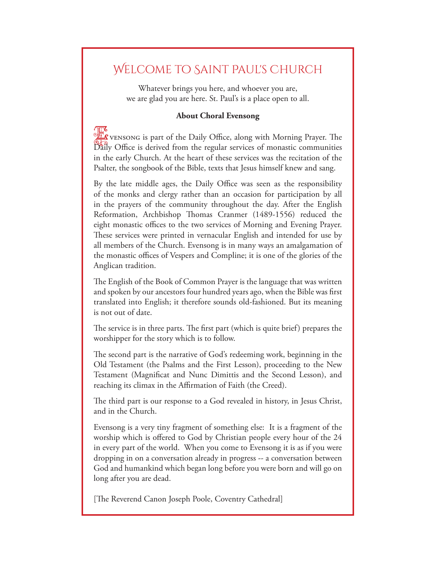# Welcome to Saint Paul's Church

Whatever brings you here, and whoever you are, we are glad you are here. St. Paul's is a place open to all.

# **About Choral Evensong**

Evensong is part of the Daily Office, along with Morning Prayer. The Daily Office is derived from the regular services of monastic communities in the early Church. At the heart of these services was the recitation of the Psalter, the songbook of the Bible, texts that Jesus himself knew and sang.

By the late middle ages, the Daily Office was seen as the responsibility of the monks and clergy rather than an occasion for participation by all in the prayers of the community throughout the day. After the English Reformation, Archbishop Thomas Cranmer (1489-1556) reduced the eight monastic offices to the two services of Morning and Evening Prayer. These services were printed in vernacular English and intended for use by all members of the Church. Evensong is in many ways an amalgamation of the monastic offices of Vespers and Compline; it is one of the glories of the Anglican tradition.

The English of the Book of Common Prayer is the language that was written and spoken by our ancestors four hundred years ago, when the Bible was first translated into English; it therefore sounds old-fashioned. But its meaning is not out of date.

The service is in three parts. The first part (which is quite brief) prepares the worshipper for the story which is to follow.

The second part is the narrative of God's redeeming work, beginning in the Old Testament (the Psalms and the First Lesson), proceeding to the New Testament (Magnificat and Nunc Dimittis and the Second Lesson), and reaching its climax in the Affirmation of Faith (the Creed).

The third part is our response to a God revealed in history, in Jesus Christ, and in the Church.

Evensong is a very tiny fragment of something else: It is a fragment of the worship which is offered to God by Christian people every hour of the 24 in every part of the world. When you come to Evensong it is as if you were dropping in on a conversation already in progress -- a conversation between God and humankind which began long before you were born and will go on long after you are dead.

[The Reverend Canon Joseph Poole, Coventry Cathedral]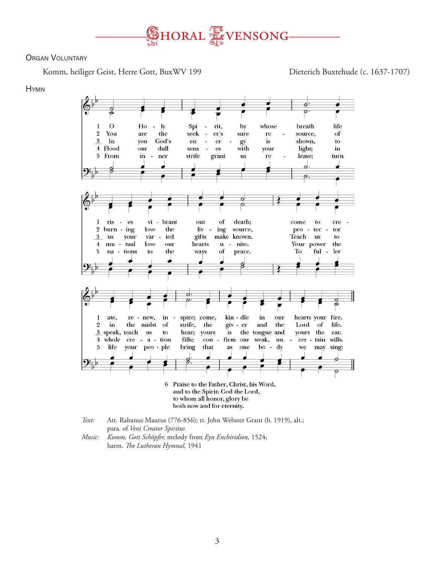

# **ORGAN VOLUNTARY**

Komm, heiliger Geist, Herre Gott, BuxWV 199 Dieterich Buxtehude (c. 1637-1707)

### **HYMN**



*Text:* Att. Rabanus Maurus (776-856); tr. John Webster Grant (b. 1919), alt.; para. of *Veni Creator Spiritus Music: Komm, Gott Schöpfer,* melody from *Eyn Enchiridion,* 1524;

harm. *The Lutheran Hymnal,* 1941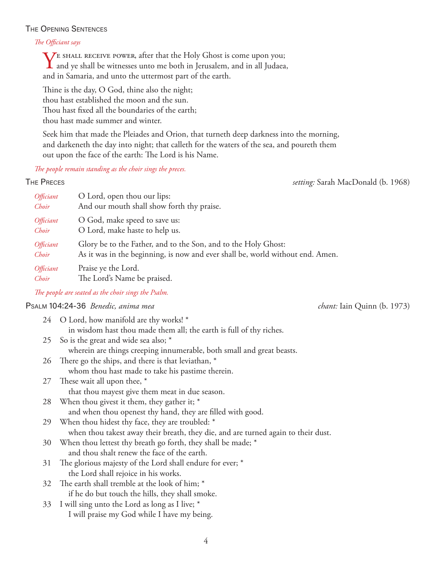# The Opening Sentences

### *The Officiant says*

 $\sum$ E SHALL RECEIVE POWER, after that the Holy Ghost is come upon you; and ye shall be witnesses unto me both in Jerusalem, and in all Judaea, and in Samaria, and unto the uttermost part of the earth.

Thine is the day, O God, thine also the night; thou hast established the moon and the sun. Thou hast fixed all the boundaries of the earth; thou hast made summer and winter.

Seek him that made the Pleiades and Orion, that turneth deep darkness into the morning, and darkeneth the day into night; that calleth for the waters of the sea, and poureth them out upon the face of the earth: The Lord is his Name.

*The people remain standing as the choir sings the preces.*

*setting:* Sarah MacDonald (b. 1968)

| RFC<br>$\sim$<br>г.<br>- |  |
|--------------------------|--|
|--------------------------|--|

| Officiant | O Lord, open thou our lips:                                                    |
|-----------|--------------------------------------------------------------------------------|
| Choir     | And our mouth shall show forth thy praise.                                     |
| Officiant | O God, make speed to save us:                                                  |
| Choir     | O Lord, make haste to help us.                                                 |
| Officiant | Glory be to the Father, and to the Son, and to the Holy Ghost:                 |
| Choir     | As it was in the beginning, is now and ever shall be, world without end. Amen. |
| Officiant | Praise ye the Lord.                                                            |
| Choir     | The Lord's Name be praised.                                                    |

*The people are seated as the choir sings the Psalm.*

# Psalm 104:24-36*Benedic, anima mea chant:* Iain Quinn (b. 1973)

|    | 24 O Lord, how manifold are thy works! *                                          |
|----|-----------------------------------------------------------------------------------|
|    | in wisdom hast thou made them all; the earth is full of thy riches.               |
|    | 25 So is the great and wide sea also; *                                           |
|    | wherein are things creeping innumerable, both small and great beasts.             |
| 26 | There go the ships, and there is that leviathan, *                                |
|    | whom thou hast made to take his pastime therein.                                  |
| 27 | These wait all upon thee, *                                                       |
|    | that thou mayest give them meat in due season.                                    |
| 28 | When thou givest it them, they gather it; *                                       |
|    | and when thou openest thy hand, they are filled with good.                        |
| 29 | When thou hidest thy face, they are troubled: *                                   |
|    | when thou takest away their breath, they die, and are turned again to their dust. |
| 30 | When thou lettest thy breath go forth, they shall be made; *                      |
|    | and thou shalt renew the face of the earth.                                       |
| 31 | The glorious majesty of the Lord shall endure for ever; *                         |
|    | the Lord shall rejoice in his works.                                              |
| 32 | The earth shall tremble at the look of him; *                                     |
|    | if he do but touch the hills, they shall smoke.                                   |
| 33 | I will sing unto the Lord as long as I live; *                                    |
|    | I will praise my God while I have my being.                                       |
|    |                                                                                   |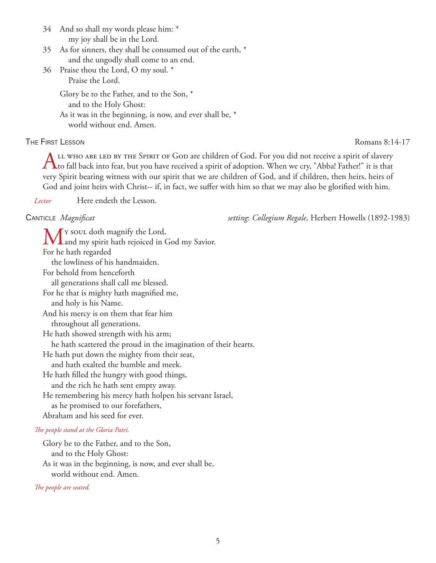34 And so shall my words please him: \* my joy shall be in the Lord.

- 35 As for sinners, they shall be consumed out of the earth, \* and the ungodly shall come to an end.
- 36 Praise thou the Lord, O my soul. \* Praise the Lord.

 Glory be to the Father, and to the Son, \* and to the Holy Ghost:

 As it was in the beginning, is now, and ever shall be, \* world without end. Amen.

# THE FIRST LESSON ROMAN ROMAN ROMAN ROMAN ROMAN 8:14-17

LL WHO ARE LED BY THE SPIRIT OF GOD are children of God. For you did not receive a spirit of slavery  $\Gamma$  to fall back into fear, but you have received a spirit of adoption. When we cry, "Abba! Father!" it is that very Spirit bearing witness with our spirit that we are children of God, and if children, then heirs, heirs of God and joint heirs with Christ-- if, in fact, we suffer with him so that we may also be glorified with him.

*Lector* Here endeth the Lesson.

Canticle*Magnificat setting*: *Collegium Regale,* Herbert Howells (1892-1983)

My soul doth magnify the Lord,<br>and my spirit hath rejoiced in God my Savior. For he hath regarded the lowliness of his handmaiden. For behold from henceforth all generations shall call me blessed. For he that is mighty hath magnified me, and holy is his Name. And his mercy is on them that fear him throughout all generations. He hath showed strength with his arm; he hath scattered the proud in the imagination of their hearts. He hath put down the mighty from their seat, and hath exalted the humble and meek. He hath filled the hungry with good things, and the rich he hath sent empty away. He remembering his mercy hath holpen his servant Israel, as he promised to our forefathers, Abraham and his seed for ever.

# *The people stand at the Gloria Patri.*

Glory be to the Father, and to the Son, and to the Holy Ghost: As it was in the beginning, is now, and ever shall be, world without end. Amen.

*The people are seated.*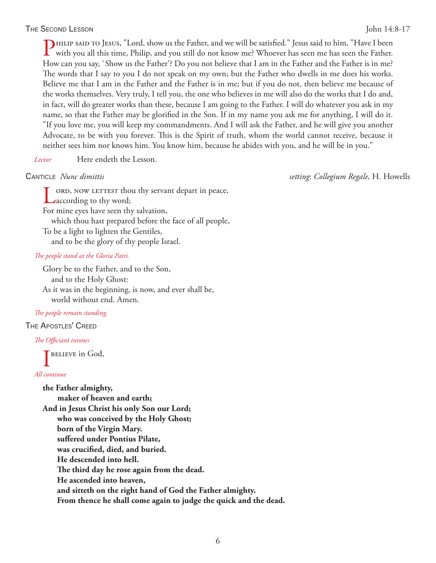# The Second Lesson John 14:8-17

Philip said to Jesus, "Lord, show us the Father, and we will be satisfied." Jesus said to him, "Have I been with you all this time, Philip, and you still do not know me? Whoever has seen me has seen the Father. How can you say, `Show us the Father'? Do you not believe that I am in the Father and the Father is in me? The words that I say to you I do not speak on my own; but the Father who dwells in me does his works. Believe me that I am in the Father and the Father is in me; but if you do not, then believe me because of the works themselves. Very truly, I tell you, the one who believes in me will also do the works that I do and, in fact, will do greater works than these, because I am going to the Father. I will do whatever you ask in my name, so that the Father may be glorified in the Son. If in my name you ask me for anything, I will do it. "If you love me, you will keep my commandments. And I will ask the Father, and he will give you another Advocate, to be with you forever. This is the Spirit of truth, whom the world cannot receive, because it neither sees him nor knows him. You know him, because he abides with you, and he will be in you."

```
Lector Here endeth the Lesson.
```
Canticle*Nunc dimittis setting*: *Collegium Regale,* H. Howells

ord, now LETTEST thou thy servant depart in peace, **according to thy word;** For mine eyes have seen thy salvation, which thou hast prepared before the face of all people, To be a light to lighten the Gentiles, and to be the glory of thy people Israel.

### *The people stand at the Gloria Patri.*

Glory be to the Father, and to the Son, and to the Holy Ghost: As it was in the beginning, is now, and ever shall be, world without end. Amen.

# *The people remain standing.*

### The Apostles' Creed

### *The Officiant intones*

I BELIEVE in God,

# *All continue*

**the Father almighty, maker of heaven and earth; And in Jesus Christ his only Son our Lord; who was conceived by the Holy Ghost; born of the Virgin Mary. suffered under Pontius Pilate, was crucified, died, and buried. He descended into hell. The third day he rose again from the dead. He ascended into heaven, and sitteth on the right hand of God the Father almighty. From thence he shall come again to judge the quick and the dead.**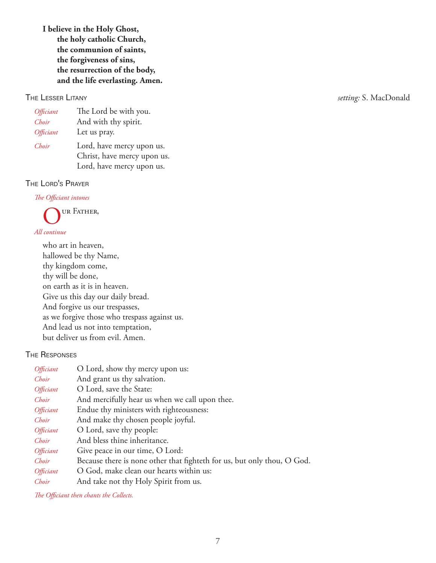**I believe in the Holy Ghost, the holy catholic Church, the communion of saints, the forgiveness of sins, the resurrection of the body, and the life everlasting. Amen.**

| Officiant | The Lord be with you.                                    |
|-----------|----------------------------------------------------------|
| Choir     | And with thy spirit.                                     |
| Officiant | Let us pray.                                             |
| Choir     | Lord, have mercy upon us.<br>Christ, have mercy upon us. |
|           | Lord, have mercy upon us.                                |

# The Lord's Prayer

*The Officiant intones*

UR FATHER,

# *All continue*

who art in heaven, hallowed be thy Name, thy kingdom come, thy will be done, on earth as it is in heaven. Give us this day our daily bread. And forgive us our trespasses, as we forgive those who trespass against us. And lead us not into temptation, but deliver us from evil. Amen.

# The Responses

| <i><b>Officiant</b></i> | O Lord, show thy mercy upon us:                                         |
|-------------------------|-------------------------------------------------------------------------|
| Choir                   | And grant us thy salvation.                                             |
| <i><b>Officiant</b></i> | O Lord, save the State:                                                 |
| Choir                   | And mercifully hear us when we call upon thee.                          |
| <i>Officiant</i>        | Endue thy ministers with righteousness:                                 |
| Choir                   | And make thy chosen people joyful.                                      |
| <i>Officiant</i>        | O Lord, save thy people:                                                |
| Choir                   | And bless thine inheritance.                                            |
| <i><b>Officiant</b></i> | Give peace in our time, O Lord:                                         |
| Choir                   | Because there is none other that fighteth for us, but only thou, O God. |
| <i>Officiant</i>        | O God, make clean our hearts within us:                                 |
| Choir                   | And take not thy Holy Spirit from us.                                   |

*The Officiant then chants the Collects.*

The Lesser Litany *setting:* S. MacDonald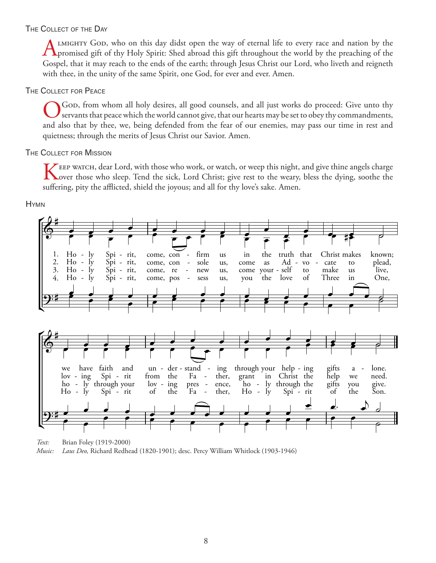# THE COLLECT OF THE DAY

LMIGHTY GOD, who on this day didst open the way of eternal life to every race and nation by the **T** promised gift of thy Holy Spirit: Shed abroad this gift throughout the world by the preaching of the Gospel, that it may reach to the ends of the earth; through Jesus Christ our Lord, who liveth and reigneth with thee, in the unity of the same Spirit, one God, for ever and ever. Amen.

# THE COLLECT FOR PEACE

God, from whom all holy desires, all good counsels, and all just works do proceed: Give unto thy servants that peace which the world cannot give, that our hearts may be set to obey thy commandments, and also that by thee, we, being defended from the fear of our enemies, may pass our time in rest and quietness; through the merits of Jesus Christ our Savior. Amen.

# **THE COLLECT FOR MISSION**

 $\blacktriangleright$  EEP warch, dear Lord, with those who work, or watch, or weep this night, and give thine angels charge over those who sleep. Tend the sick, Lord Christ; give rest to the weary, bless the dying, soothe the suffering, pity the afflicted, shield the joyous; and all for thy love's sake. Amen.

**HYMN** 



Brian Foley (1919-2000) Text: Laus Deo, Richard Redhead (1820-1901); desc. Percy William Whitlock (1903-1946) Music: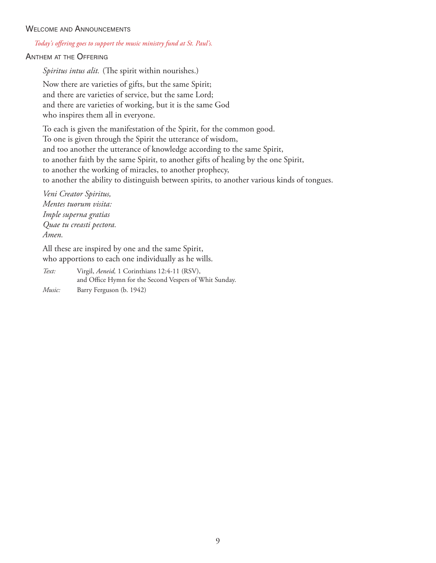# WELCOME AND ANNOUNCEMENTS

### *Today's offering goes to support the music ministry fund at St. Paul's.*

# Anthem at the Offering

*Spiritus intus alit.* (The spirit within nourishes.)

Now there are varieties of gifts, but the same Spirit; and there are varieties of service, but the same Lord; and there are varieties of working, but it is the same God who inspires them all in everyone.

To each is given the manifestation of the Spirit, for the common good. To one is given through the Spirit the utterance of wisdom, and too another the utterance of knowledge according to the same Spirit, to another faith by the same Spirit, to another gifts of healing by the one Spirit, to another the working of miracles, to another prophecy, to another the ability to distinguish between spirits, to another various kinds of tongues.

*Veni Creator Spiritus, Mentes tuorum visita: Imple superna gratias Quae tu creasti pectora. Amen.*

All these are inspired by one and the same Spirit, who apportions to each one individually as he wills.

*Text:* Virgil, *Aeneid,* 1 Corinthians 12:4-11 (RSV), and Office Hymn for the Second Vespers of Whit Sunday. *Music:* Barry Ferguson (b. 1942)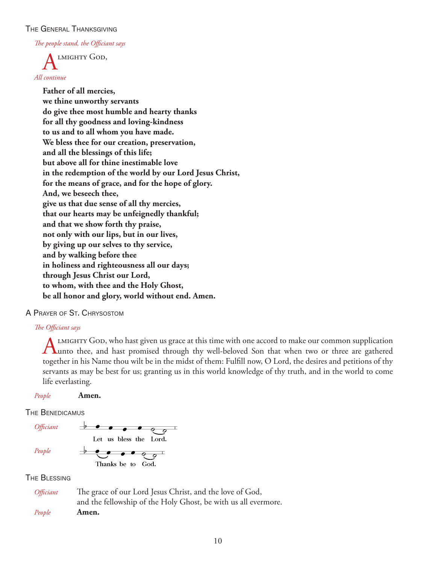# The General Thanksgiving

*The people stand, the Officiant says*

LMIGHTY GOD, *All continue*

> **Father of all mercies, we thine unworthy servants do give thee most humble and hearty thanks for all thy goodness and loving-kindness to us and to all whom you have made. We bless thee for our creation, preservation, and all the blessings of this life; but above all for thine inestimable love in the redemption of the world by our Lord Jesus Christ, for the means of grace, and for the hope of glory. And, we beseech thee, give us that due sense of all thy mercies, that our hearts may be unfeignedly thankful; and that we show forth thy praise, not only with our lips, but in our lives, by giving up our selves to thy service, and by walking before thee in holiness and righteousness all our days; through Jesus Christ our Lord, to whom, with thee and the Holy Ghost, be all honor and glory, world without end. Amen.**

# A Prayer of St. Chrysostom

# *The Officiant says*

LIMIGHTY GOD, who hast given us grace at this time with one accord to make our common supplication Tunto thee, and hast promised through thy well-beloved Son that when two or three are gathered together in his Name thou wilt be in the midst of them: Fulfill now, O Lord, the desires and petitions of thy servants as may be best for us; granting us in this world knowledge of thy truth, and in the world to come life everlasting.

*People* **Amen.**

# THE BENEDICAMUS



# The Blessing

| <i>Officiant</i> | The grace of our Lord Jesus Christ, and the love of God,       |
|------------------|----------------------------------------------------------------|
|                  | and the fellowship of the Holy Ghost, be with us all evermore. |
| People           | Amen.                                                          |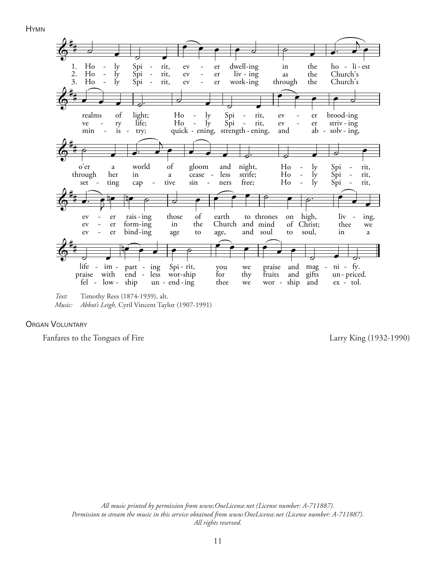Hymn



*Music: Abbot's Leigh,* Cyril Vincent Taylor (1907-1991)

**ORGAN VOLUNTARY** 

Fanfares to the Tongues of Fire Larry King (1932-1990)